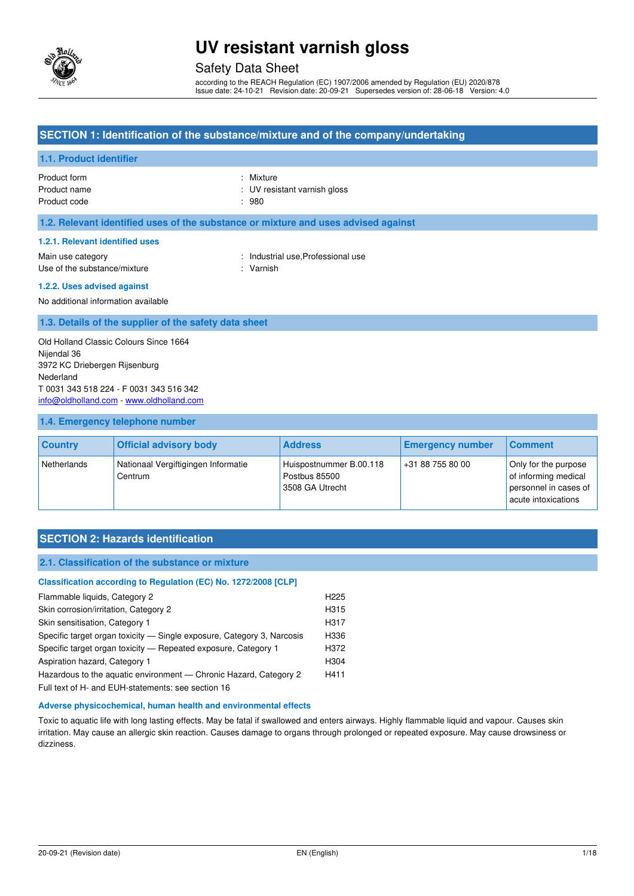

### Safety Data Sheet

according to the REACH Regulation (EC) 1907/2006 amended by Regulation (EU) 2020/878 Issue date: 24-10-21 Revision date: 20-09-21 Supersedes version of: 28-06-18 Version: 4.0

#### **SECTION 1: Identification of the substance/mixture and of the company/undertaking**

#### **1.1. Product identifier**

Product form : Nixture : Nixture Product name  $\qquad \qquad : \quad UV$  resistant varnish gloss Product code : 980

#### **1.2. Relevant identified uses of the substance or mixture and uses advised against**

#### **1.2.1. Relevant identified uses**

Main use category **Example 20** and the United States of the Industrial use, Professional use Use of the substance/mixture : Varnish

#### **1.2.2. Uses advised against**

No additional information available

#### **1.3. Details of the supplier of the safety data sheet**

Old Holland Classic Colours Since 1664 Nijendal 36 3972 KC Driebergen Rijsenburg Nederland T 0031 343 518 224 - F 0031 343 516 342 [info@oldholland.com](mailto:info@oldholland.com) - [www.oldholland.com](http://www.oldholland.com/)

#### **1.4. Emergency telephone number**

| <b>Country</b> | <b>Official advisory body</b>                  | <b>Address</b>                                              | <b>Emergency number</b> | <b>Comment</b>                                                                               |
|----------------|------------------------------------------------|-------------------------------------------------------------|-------------------------|----------------------------------------------------------------------------------------------|
| Netherlands    | Nationaal Vergiftigingen Informatie<br>Centrum | Huispostnummer B.00.118<br>Postbus 85500<br>3508 GA Utrecht | +31 88 755 80 00        | Only for the purpose<br>of informing medical<br>personnel in cases of<br>acute intoxications |

### **SECTION 2: Hazards identification**

#### **2.1. Classification of the substance or mixture**

#### **Classification according to Regulation (EC) No. 1272/2008 [CLP]**

| Flammable liquids, Category 2                                          | H <sub>225</sub> |
|------------------------------------------------------------------------|------------------|
| Skin corrosion/irritation, Category 2                                  | H315             |
| Skin sensitisation, Category 1                                         | H317             |
| Specific target organ toxicity — Single exposure, Category 3, Narcosis | H336             |
| Specific target organ toxicity — Repeated exposure, Category 1         | H372             |
| Aspiration hazard, Category 1                                          | H304             |
| Hazardous to the aguatic environment — Chronic Hazard, Category 2      | H411             |
| Full toy of H, and FUH-statements: see section 16                      |                  |

Full text of H- and EUH-statements: see section 16

#### **Adverse physicochemical, human health and environmental effects**

Toxic to aquatic life with long lasting effects. May be fatal if swallowed and enters airways. Highly flammable liquid and vapour. Causes skin irritation. May cause an allergic skin reaction. Causes damage to organs through prolonged or repeated exposure. May cause drowsiness or dizziness.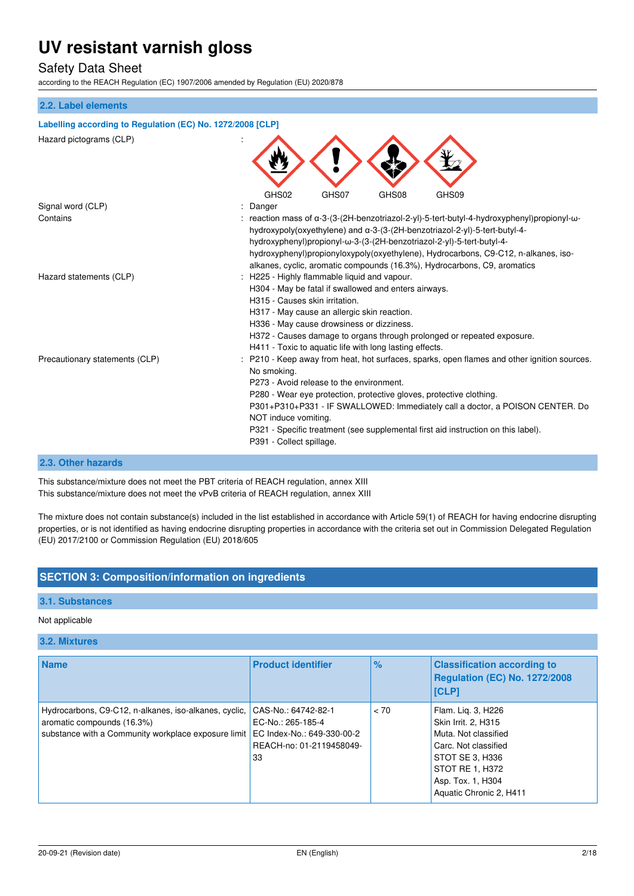### Safety Data Sheet

according to the REACH Regulation (EC) 1907/2006 amended by Regulation (EU) 2020/878

#### **2.2. Label elements**

### **Labelling according to Regulation (EC) No. 1272/2008 [CLP]**  Hazard pictograms (CLP) : GHS02 GHS07 GHS08 GHS09 Signal word (CLP)  $\qquad \qquad$ : Danger Contains : reaction mass of α-3-(3-(2H-benzotriazol-2-yl)-5-tert-butyl-4-hydroxyphenyl)propionyl-ωhydroxypoly(oxyethylene) and α-3-(3-(2H-benzotriazol-2-yl)-5-tert-butyl-4 hydroxyphenyl)propionyl-ω-3-(3-(2H-benzotriazol-2-yl)-5-tert-butyl-4 hydroxyphenyl)propionyloxypoly(oxyethylene), Hydrocarbons, C9-C12, n-alkanes, isoalkanes, cyclic, aromatic compounds (16.3%), Hydrocarbons, C9, aromatics Hazard statements (CLP) : H225 - Highly flammable liquid and vapour. H304 - May be fatal if swallowed and enters airways. H315 - Causes skin irritation. H317 - May cause an allergic skin reaction. H336 - May cause drowsiness or dizziness. H372 - Causes damage to organs through prolonged or repeated exposure. H411 - Toxic to aquatic life with long lasting effects. Precautionary statements (CLP) : P210 - Keep away from heat, hot surfaces, sparks, open flames and other ignition sources. No smoking. P273 - Avoid release to the environment. P280 - Wear eye protection, protective gloves, protective clothing. P301+P310+P331 - IF SWALLOWED: Immediately call a doctor, a POISON CENTER. Do NOT induce vomiting. P321 - Specific treatment (see supplemental first aid instruction on this label). P391 - Collect spillage.

#### **2.3. Other hazards**

This substance/mixture does not meet the PBT criteria of REACH regulation, annex XIII This substance/mixture does not meet the vPvB criteria of REACH regulation, annex XIII

The mixture does not contain substance(s) included in the list established in accordance with Article 59(1) of REACH for having endocrine disrupting properties, or is not identified as having endocrine disrupting properties in accordance with the criteria set out in Commission Delegated Regulation (EU) 2017/2100 or Commission Regulation (EU) 2018/605

### **SECTION 3: Composition/information on ingredients**

#### **3.1. Substances**

#### Not applicable

#### **3.2. Mixtures**

| <b>Name</b>                                                                                                                                | <b>Product identifier</b>                                                                                | $\%$ | <b>Classification according to</b><br>Regulation (EC) No. 1272/2008<br><b>ICLPI</b>                                                                                             |
|--------------------------------------------------------------------------------------------------------------------------------------------|----------------------------------------------------------------------------------------------------------|------|---------------------------------------------------------------------------------------------------------------------------------------------------------------------------------|
| Hydrocarbons, C9-C12, n-alkanes, iso-alkanes, cyclic,<br>aromatic compounds (16.3%)<br>substance with a Community workplace exposure limit | CAS-No.: 64742-82-1<br>EC-No.: 265-185-4<br>EC Index-No.: 649-330-00-2<br>REACH-no: 01-2119458049-<br>33 | < 70 | Flam. Lig. 3, H226<br>Skin Irrit. 2, H315<br>Muta, Not classified<br>Carc. Not classified<br>STOT SE 3, H336<br>STOT RE 1, H372<br>Asp. Tox. 1, H304<br>Aquatic Chronic 2, H411 |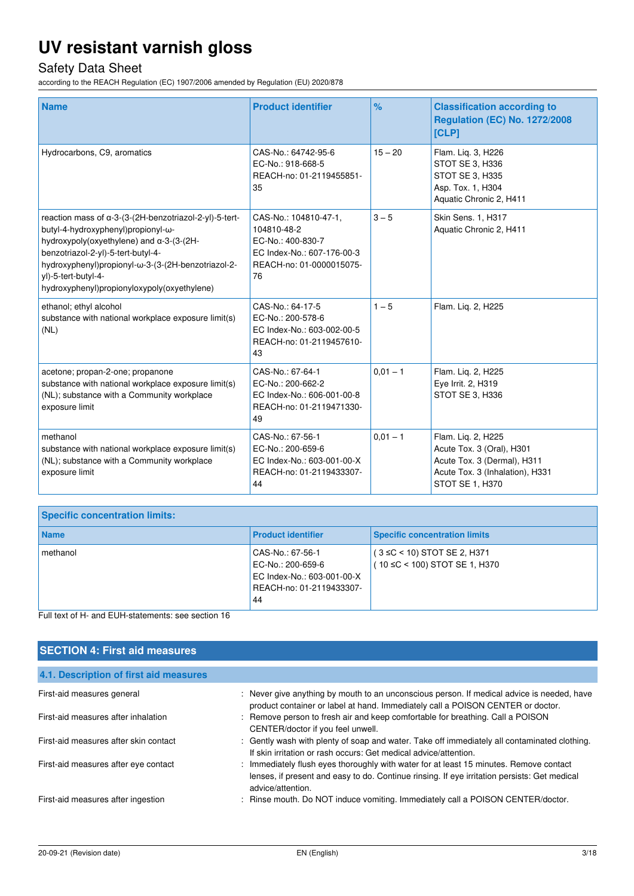## Safety Data Sheet

according to the REACH Regulation (EC) 1907/2006 amended by Regulation (EU) 2020/878

| <b>Name</b>                                                                                                                                                                                                                                                                                                | <b>Product identifier</b>                                                                                                 | $\%$       | <b>Classification according to</b><br><b>Regulation (EC) No. 1272/2008</b><br>[CLP]                                                         |
|------------------------------------------------------------------------------------------------------------------------------------------------------------------------------------------------------------------------------------------------------------------------------------------------------------|---------------------------------------------------------------------------------------------------------------------------|------------|---------------------------------------------------------------------------------------------------------------------------------------------|
| Hydrocarbons, C9, aromatics                                                                                                                                                                                                                                                                                | CAS-No.: 64742-95-6<br>EC-No.: 918-668-5<br>REACH-no: 01-2119455851-<br>35                                                | $15 - 20$  | Flam. Lig. 3, H226<br>STOT SE 3, H336<br>STOT SE 3, H335<br>Asp. Tox. 1, H304<br>Aquatic Chronic 2, H411                                    |
| reaction mass of a-3-(3-(2H-benzotriazol-2-yl)-5-tert-<br>butyl-4-hydroxyphenyl)propionyl-ω-<br>hydroxypoly(oxyethylene) and α-3-(3-(2H-<br>benzotriazol-2-yl)-5-tert-butyl-4-<br>hydroxyphenyl)propionyl-ω-3-(3-(2H-benzotriazol-2-<br>vl)-5-tert-butyl-4-<br>hydroxyphenyl)propionyloxypoly(oxyethylene) | CAS-No.: 104810-47-1.<br>104810-48-2<br>EC-No.: 400-830-7<br>EC Index-No.: 607-176-00-3<br>REACH-no: 01-0000015075-<br>76 | $3 - 5$    | Skin Sens. 1, H317<br>Aquatic Chronic 2, H411                                                                                               |
| ethanol; ethyl alcohol<br>substance with national workplace exposure limit(s)<br>(NL)                                                                                                                                                                                                                      | CAS-No.: 64-17-5<br>EC-No.: 200-578-6<br>EC Index-No.: 603-002-00-5<br>REACH-no: 01-2119457610-<br>43                     | $1 - 5$    | Flam. Lig. 2, H225                                                                                                                          |
| acetone; propan-2-one; propanone<br>substance with national workplace exposure limit(s)<br>(NL); substance with a Community workplace<br>exposure limit                                                                                                                                                    | CAS-No.: 67-64-1<br>EC-No.: 200-662-2<br>EC Index-No.: 606-001-00-8<br>REACH-no: 01-2119471330-<br>49                     | $0.01 - 1$ | Flam. Liq. 2, H225<br>Eye Irrit. 2, H319<br>STOT SE 3, H336                                                                                 |
| methanol<br>substance with national workplace exposure limit(s)<br>(NL); substance with a Community workplace<br>exposure limit                                                                                                                                                                            | CAS-No.: 67-56-1<br>EC-No.: 200-659-6<br>EC Index-No.: 603-001-00-X<br>REACH-no: 01-2119433307-<br>44                     | $0,01 - 1$ | Flam. Liq. 2, H225<br>Acute Tox. 3 (Oral), H301<br>Acute Tox. 3 (Dermal), H311<br>Acute Tox. 3 (Inhalation), H331<br><b>STOT SE 1, H370</b> |

| <b>Name</b><br><b>Product identifier</b><br><b>Specific concentration limits</b><br>$(3 \leq C < 10)$ STOT SE 2, H371<br>CAS-No.: 67-56-1<br>methanol<br>$(10 \le C < 100)$ STOT SE 1, H370<br>EC-No.: 200-659-6<br>EC Index-No.: 603-001-00-X | <b>Specific concentration limits:</b> |                          |  |
|------------------------------------------------------------------------------------------------------------------------------------------------------------------------------------------------------------------------------------------------|---------------------------------------|--------------------------|--|
|                                                                                                                                                                                                                                                |                                       |                          |  |
| 44                                                                                                                                                                                                                                             |                                       | REACH-no: 01-2119433307- |  |

Full text of H- and EUH-statements: see section 16

| <b>SECTION 4: First aid measures</b>   |                                                                                                                                                                                                             |
|----------------------------------------|-------------------------------------------------------------------------------------------------------------------------------------------------------------------------------------------------------------|
| 4.1. Description of first aid measures |                                                                                                                                                                                                             |
| First-aid measures general             | : Never give anything by mouth to an unconscious person. If medical advice is needed, have<br>product container or label at hand. Immediately call a POISON CENTER or doctor.                               |
| First-aid measures after inhalation    | : Remove person to fresh air and keep comfortable for breathing. Call a POISON<br>CENTER/doctor if you feel unwell.                                                                                         |
| First-aid measures after skin contact  | : Gently wash with plenty of soap and water. Take off immediately all contaminated clothing.<br>If skin irritation or rash occurs: Get medical advice/attention.                                            |
| First-aid measures after eye contact   | : Immediately flush eyes thoroughly with water for at least 15 minutes. Remove contact<br>lenses, if present and easy to do. Continue rinsing. If eye irritation persists: Get medical<br>advice/attention. |
| First-aid measures after ingestion     | : Rinse mouth. Do NOT induce vomiting. Immediately call a POISON CENTER/doctor.                                                                                                                             |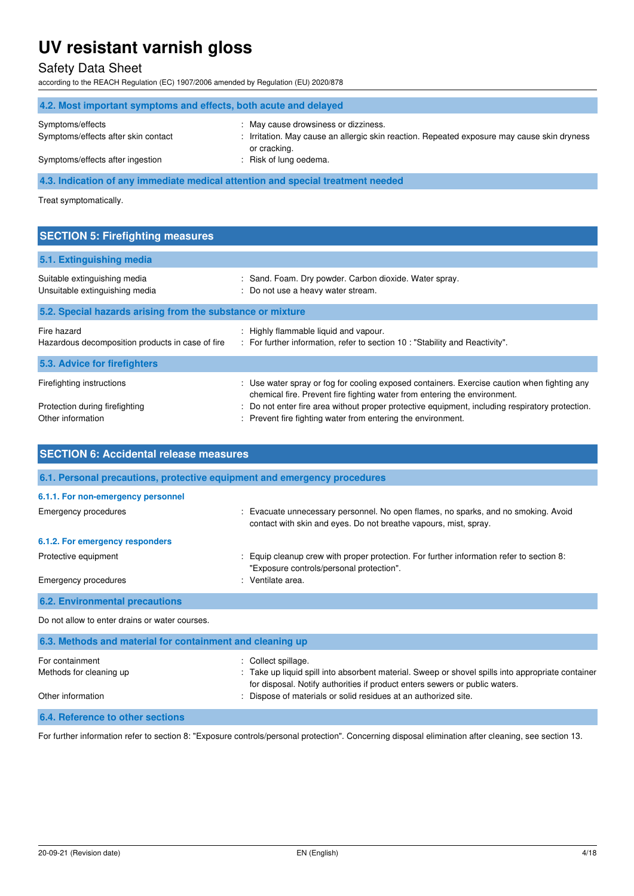## Safety Data Sheet

according to the REACH Regulation (EC) 1907/2006 amended by Regulation (EU) 2020/878

| 4.2. Most important symptoms and effects, both acute and delayed                |                                                                                                             |  |
|---------------------------------------------------------------------------------|-------------------------------------------------------------------------------------------------------------|--|
| Symptoms/effects                                                                | : May cause drowsiness or dizziness.                                                                        |  |
| Symptoms/effects after skin contact                                             | : Irritation. May cause an allergic skin reaction. Repeated exposure may cause skin dryness<br>or cracking. |  |
| Symptoms/effects after ingestion                                                | : Risk of lung oedema.                                                                                      |  |
| 4.3. Indication of any immediate medical attention and special treatment needed |                                                                                                             |  |

Treat symptomatically.

| <b>SECTION 5: Firefighting measures</b>                         |                                                                                                                                                                          |  |  |
|-----------------------------------------------------------------|--------------------------------------------------------------------------------------------------------------------------------------------------------------------------|--|--|
| 5.1. Extinguishing media                                        |                                                                                                                                                                          |  |  |
| Suitable extinguishing media<br>Unsuitable extinguishing media  | : Sand. Foam. Dry powder. Carbon dioxide. Water spray.<br>: Do not use a heavy water stream.                                                                             |  |  |
| 5.2. Special hazards arising from the substance or mixture      |                                                                                                                                                                          |  |  |
| Fire hazard<br>Hazardous decomposition products in case of fire | : Highly flammable liquid and vapour.<br>: For further information, refer to section 10 : "Stability and Reactivity".                                                    |  |  |
| 5.3. Advice for firefighters                                    |                                                                                                                                                                          |  |  |
| Firefighting instructions                                       | : Use water spray or fog for cooling exposed containers. Exercise caution when fighting any<br>chemical fire. Prevent fire fighting water from entering the environment. |  |  |
| Protection during firefighting<br>Other information             | : Do not enter fire area without proper protective equipment, including respiratory protection.<br>: Prevent fire fighting water from entering the environment.          |  |  |

| <b>SECTION 6: Accidental release measures</b>                            |                                                                                                                                                                                                         |  |
|--------------------------------------------------------------------------|---------------------------------------------------------------------------------------------------------------------------------------------------------------------------------------------------------|--|
| 6.1. Personal precautions, protective equipment and emergency procedures |                                                                                                                                                                                                         |  |
| 6.1.1. For non-emergency personnel                                       |                                                                                                                                                                                                         |  |
| Emergency procedures                                                     | : Evacuate unnecessary personnel. No open flames, no sparks, and no smoking. Avoid<br>contact with skin and eyes. Do not breathe vapours, mist, spray.                                                  |  |
| 6.1.2. For emergency responders                                          |                                                                                                                                                                                                         |  |
| Protective equipment                                                     | : Equip cleanup crew with proper protection. For further information refer to section 8:<br>"Exposure controls/personal protection".                                                                    |  |
| Emergency procedures                                                     | : Ventilate area.                                                                                                                                                                                       |  |
| <b>6.2. Environmental precautions</b>                                    |                                                                                                                                                                                                         |  |
| Do not allow to enter drains or water courses.                           |                                                                                                                                                                                                         |  |
| 6.3. Methods and material for containment and cleaning up                |                                                                                                                                                                                                         |  |
| For containment<br>Methods for cleaning up                               | : Collect spillage.<br>: Take up liquid spill into absorbent material. Sweep or shovel spills into appropriate container<br>for disposal. Notify authorities if product enters sewers or public waters. |  |
| Other information                                                        | : Dispose of materials or solid residues at an authorized site.                                                                                                                                         |  |
| 6.4. Reference to other sections                                         |                                                                                                                                                                                                         |  |

For further information refer to section 8: "Exposure controls/personal protection". Concerning disposal elimination after cleaning, see section 13.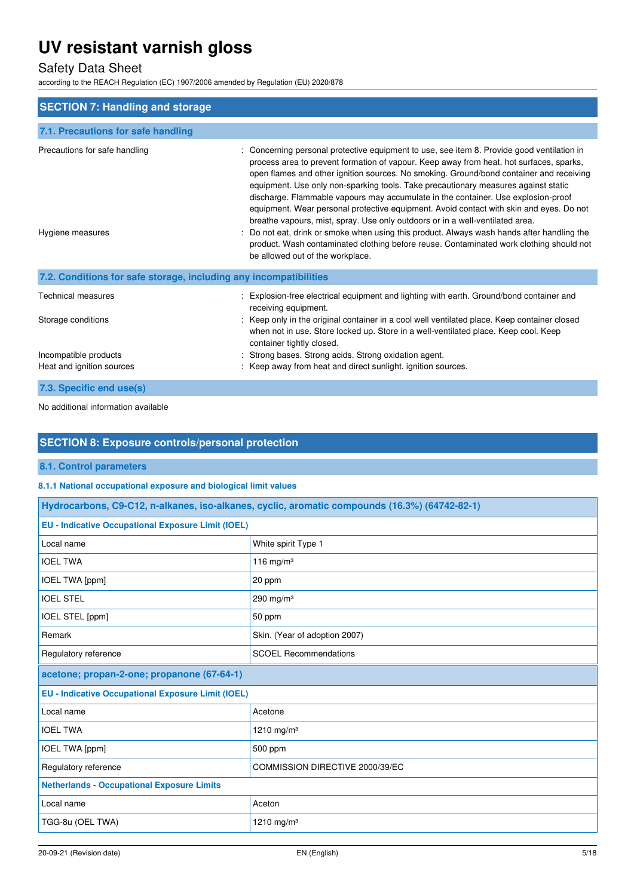## Safety Data Sheet

according to the REACH Regulation (EC) 1907/2006 amended by Regulation (EU) 2020/878

| <b>SECTION 7: Handling and storage</b>                            |                                                                                                                                                                                                                                                                                                                                                                                                                                                                                                                                                                                                                                                                                                                                                                                                                                                                  |
|-------------------------------------------------------------------|------------------------------------------------------------------------------------------------------------------------------------------------------------------------------------------------------------------------------------------------------------------------------------------------------------------------------------------------------------------------------------------------------------------------------------------------------------------------------------------------------------------------------------------------------------------------------------------------------------------------------------------------------------------------------------------------------------------------------------------------------------------------------------------------------------------------------------------------------------------|
| 7.1. Precautions for safe handling                                |                                                                                                                                                                                                                                                                                                                                                                                                                                                                                                                                                                                                                                                                                                                                                                                                                                                                  |
| Precautions for safe handling<br>Hygiene measures                 | Concerning personal protective equipment to use, see item 8. Provide good ventilation in<br>process area to prevent formation of vapour. Keep away from heat, hot surfaces, sparks,<br>open flames and other ignition sources. No smoking. Ground/bond container and receiving<br>equipment. Use only non-sparking tools. Take precautionary measures against static<br>discharge. Flammable vapours may accumulate in the container. Use explosion-proof<br>equipment. Wear personal protective equipment. Avoid contact with skin and eyes. Do not<br>breathe vapours, mist, spray. Use only outdoors or in a well-ventilated area.<br>Do not eat, drink or smoke when using this product. Always wash hands after handling the<br>product. Wash contaminated clothing before reuse. Contaminated work clothing should not<br>be allowed out of the workplace. |
| 7.2. Conditions for safe storage, including any incompatibilities |                                                                                                                                                                                                                                                                                                                                                                                                                                                                                                                                                                                                                                                                                                                                                                                                                                                                  |
| <b>Technical measures</b><br>Storage conditions                   | Explosion-free electrical equipment and lighting with earth. Ground/bond container and<br>receiving equipment.<br>Keep only in the original container in a cool well ventilated place. Keep container closed<br>when not in use. Store locked up. Store in a well-ventilated place. Keep cool. Keep<br>container tightly closed.                                                                                                                                                                                                                                                                                                                                                                                                                                                                                                                                 |
| Incompatible products<br>Heat and ignition sources                | Strong bases. Strong acids. Strong oxidation agent.<br>Keep away from heat and direct sunlight. ignition sources.                                                                                                                                                                                                                                                                                                                                                                                                                                                                                                                                                                                                                                                                                                                                                |
| 7.3. Specific end use(s)                                          |                                                                                                                                                                                                                                                                                                                                                                                                                                                                                                                                                                                                                                                                                                                                                                                                                                                                  |

No additional information available

#### **SECTION 8: Exposure controls/personal protection**

**8.1. Control parameters** 

Г

#### **8.1.1 National occupational exposure and biological limit values**

| Hydrocarbons, C9-C12, n-alkanes, iso-alkanes, cyclic, aromatic compounds (16.3%) (64742-82-1) |                                 |  |
|-----------------------------------------------------------------------------------------------|---------------------------------|--|
| <b>EU - Indicative Occupational Exposure Limit (IOEL)</b>                                     |                                 |  |
| Local name                                                                                    | White spirit Type 1             |  |
| <b>IOEL TWA</b>                                                                               | 116 mg/m $3$                    |  |
| IOEL TWA [ppm]                                                                                | 20 ppm                          |  |
| <b>IOEL STEL</b>                                                                              | 290 mg/m $3$                    |  |
| IOEL STEL [ppm]                                                                               | 50 ppm                          |  |
| Remark                                                                                        | Skin. (Year of adoption 2007)   |  |
| Regulatory reference                                                                          | <b>SCOEL Recommendations</b>    |  |
| acetone; propan-2-one; propanone (67-64-1)                                                    |                                 |  |
| <b>EU - Indicative Occupational Exposure Limit (IOEL)</b>                                     |                                 |  |
| Local name                                                                                    | Acetone                         |  |
| <b>IOEL TWA</b>                                                                               | 1210 mg/m <sup>3</sup>          |  |
| IOEL TWA [ppm]                                                                                | 500 ppm                         |  |
| Regulatory reference                                                                          | COMMISSION DIRECTIVE 2000/39/EC |  |
| <b>Netherlands - Occupational Exposure Limits</b>                                             |                                 |  |
| Local name                                                                                    | Aceton                          |  |
| TGG-8u (OEL TWA)                                                                              | 1210 mg/m <sup>3</sup>          |  |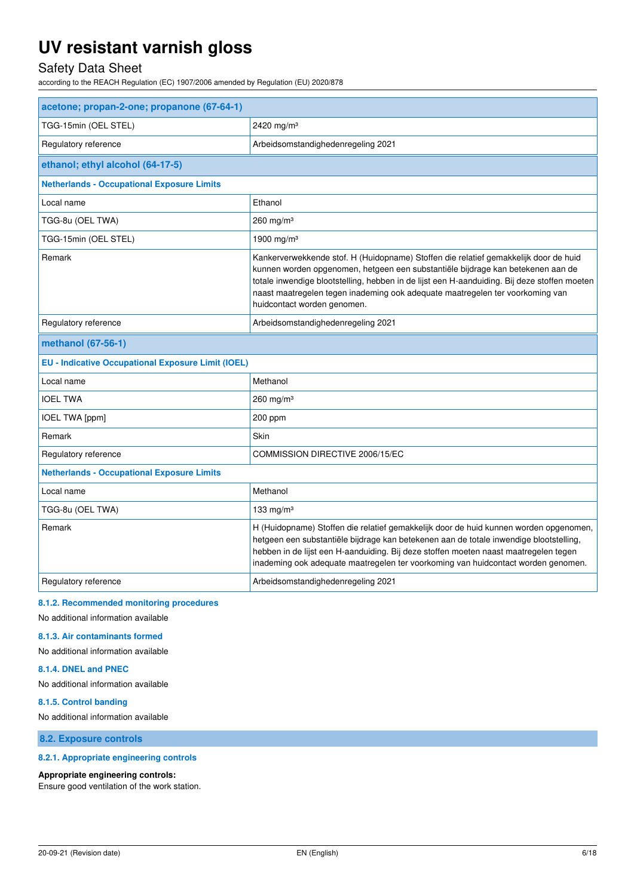### Safety Data Sheet

according to the REACH Regulation (EC) 1907/2006 amended by Regulation (EU) 2020/878

| acetone; propan-2-one; propanone (67-64-1)                |                                                                                                                                                                                                                                                                                                                                                                                         |  |
|-----------------------------------------------------------|-----------------------------------------------------------------------------------------------------------------------------------------------------------------------------------------------------------------------------------------------------------------------------------------------------------------------------------------------------------------------------------------|--|
| TGG-15min (OEL STEL)                                      | 2420 mg/m <sup>3</sup>                                                                                                                                                                                                                                                                                                                                                                  |  |
| Regulatory reference                                      | Arbeidsomstandighedenregeling 2021                                                                                                                                                                                                                                                                                                                                                      |  |
| ethanol; ethyl alcohol (64-17-5)                          |                                                                                                                                                                                                                                                                                                                                                                                         |  |
| <b>Netherlands - Occupational Exposure Limits</b>         |                                                                                                                                                                                                                                                                                                                                                                                         |  |
| Local name                                                | Ethanol                                                                                                                                                                                                                                                                                                                                                                                 |  |
| TGG-8u (OEL TWA)                                          | $260$ mg/m <sup>3</sup>                                                                                                                                                                                                                                                                                                                                                                 |  |
| TGG-15min (OEL STEL)                                      | 1900 mg/m <sup>3</sup>                                                                                                                                                                                                                                                                                                                                                                  |  |
| Remark                                                    | Kankerverwekkende stof. H (Huidopname) Stoffen die relatief gemakkelijk door de huid<br>kunnen worden opgenomen, hetgeen een substantiële bijdrage kan betekenen aan de<br>totale inwendige blootstelling, hebben in de lijst een H-aanduiding. Bij deze stoffen moeten<br>naast maatregelen tegen inademing ook adequate maatregelen ter voorkoming van<br>huidcontact worden genomen. |  |
| Regulatory reference                                      | Arbeidsomstandighedenregeling 2021                                                                                                                                                                                                                                                                                                                                                      |  |
| methanol (67-56-1)                                        |                                                                                                                                                                                                                                                                                                                                                                                         |  |
| <b>EU - Indicative Occupational Exposure Limit (IOEL)</b> |                                                                                                                                                                                                                                                                                                                                                                                         |  |
| Local name                                                | Methanol                                                                                                                                                                                                                                                                                                                                                                                |  |
| <b>IOEL TWA</b>                                           | $260$ mg/m <sup>3</sup>                                                                                                                                                                                                                                                                                                                                                                 |  |
| <b>IOEL TWA [ppm]</b>                                     | 200 ppm                                                                                                                                                                                                                                                                                                                                                                                 |  |
| Remark                                                    | Skin                                                                                                                                                                                                                                                                                                                                                                                    |  |
| Regulatory reference                                      | COMMISSION DIRECTIVE 2006/15/EC                                                                                                                                                                                                                                                                                                                                                         |  |
| <b>Netherlands - Occupational Exposure Limits</b>         |                                                                                                                                                                                                                                                                                                                                                                                         |  |
| Local name                                                | Methanol                                                                                                                                                                                                                                                                                                                                                                                |  |
| TGG-8u (OEL TWA)                                          | 133 mg/m $3$                                                                                                                                                                                                                                                                                                                                                                            |  |
| Remark                                                    | H (Huidopname) Stoffen die relatief gemakkelijk door de huid kunnen worden opgenomen,<br>hetgeen een substantiële bijdrage kan betekenen aan de totale inwendige blootstelling,<br>hebben in de lijst een H-aanduiding. Bij deze stoffen moeten naast maatregelen tegen<br>inademing ook adequate maatregelen ter voorkoming van huidcontact worden genomen.                            |  |
| Regulatory reference                                      | Arbeidsomstandighedenregeling 2021                                                                                                                                                                                                                                                                                                                                                      |  |
|                                                           |                                                                                                                                                                                                                                                                                                                                                                                         |  |

#### **8.1.2. Recommended monitoring procedures**

No additional information available

#### **8.1.3. Air contaminants formed**

No additional information available

#### **8.1.4. DNEL and PNEC**

No additional information available

#### **8.1.5. Control banding**

No additional information available

**8.2. Exposure controls** 

#### **8.2.1. Appropriate engineering controls**

#### **Appropriate engineering controls:**

Ensure good ventilation of the work station.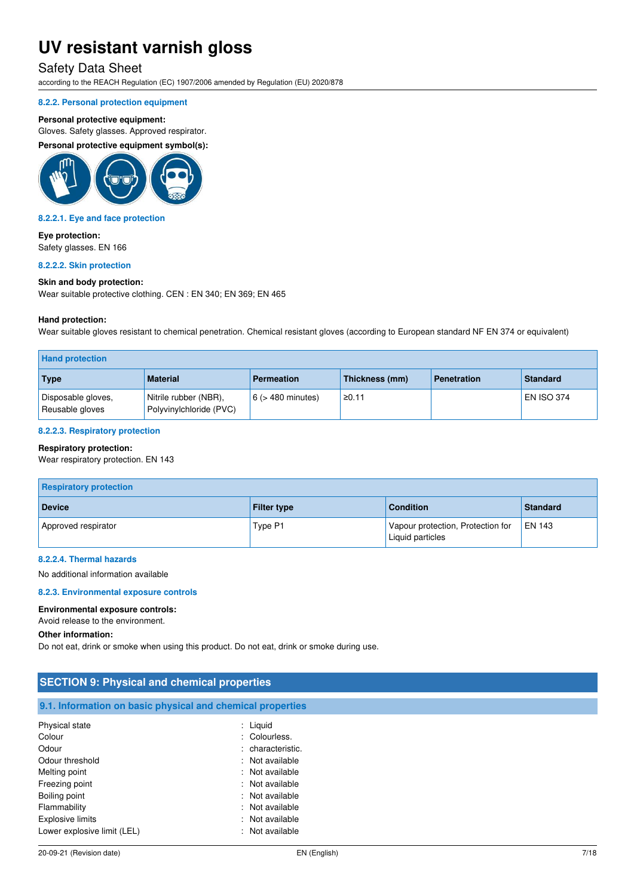### Safety Data Sheet

according to the REACH Regulation (EC) 1907/2006 amended by Regulation (EU) 2020/878

#### **8.2.2. Personal protection equipment**

#### **Personal protective equipment:**

Gloves. Safety glasses. Approved respirator.

**Personal protective equipment symbol(s):** 



#### **8.2.2.1. Eye and face protection**

**Eye protection:**  Safety glasses. EN 166

#### **8.2.2.2. Skin protection**

#### **Skin and body protection:**

Wear suitable protective clothing. CEN : EN 340; EN 369; EN 465

#### **Hand protection:**

Wear suitable gloves resistant to chemical penetration. Chemical resistant gloves (according to European standard NF EN 374 or equivalent)

| <b>Hand protection</b>                |                                                  |                        |                |                    |                   |
|---------------------------------------|--------------------------------------------------|------------------------|----------------|--------------------|-------------------|
| <b>Type</b>                           | <b>Material</b>                                  | <b>Permeation</b>      | Thickness (mm) | <b>Penetration</b> | Standard          |
| Disposable gloves,<br>Reusable gloves | Nitrile rubber (NBR),<br>Polyvinylchloride (PVC) | $6$ ( $>$ 480 minutes) | ≥0.11          |                    | <b>EN ISO 374</b> |

#### **8.2.2.3. Respiratory protection**

#### **Respiratory protection:**

Wear respiratory protection. EN 143

| <b>Respiratory protection</b> |                    |                                                       |               |
|-------------------------------|--------------------|-------------------------------------------------------|---------------|
| <b>Device</b>                 | <b>Filter type</b> | <b>Condition</b>                                      | Standard      |
| Approved respirator           | Type P1            | Vapour protection, Protection for<br>Liquid particles | <b>EN 143</b> |

#### **8.2.2.4. Thermal hazards**

No additional information available

#### **8.2.3. Environmental exposure controls**

#### **Environmental exposure controls:**

Avoid release to the environment.

#### **Other information:**

Do not eat, drink or smoke when using this product. Do not eat, drink or smoke during use.

| <b>SECTION 9: Physical and chemical properties</b>         |                   |  |
|------------------------------------------------------------|-------------------|--|
| 9.1. Information on basic physical and chemical properties |                   |  |
| Physical state                                             | : Liquid          |  |
| Colour                                                     | : Colourless.     |  |
| Odour                                                      | : characteristic. |  |
| Odour threshold                                            | : Not available   |  |
| Melting point                                              | : Not available   |  |
| Freezing point                                             | : Not available   |  |
| Boiling point                                              | : Not available   |  |
| Flammability                                               | : Not available   |  |
| <b>Explosive limits</b>                                    | : Not available   |  |
| Lower explosive limit (LEL)                                | : Not available   |  |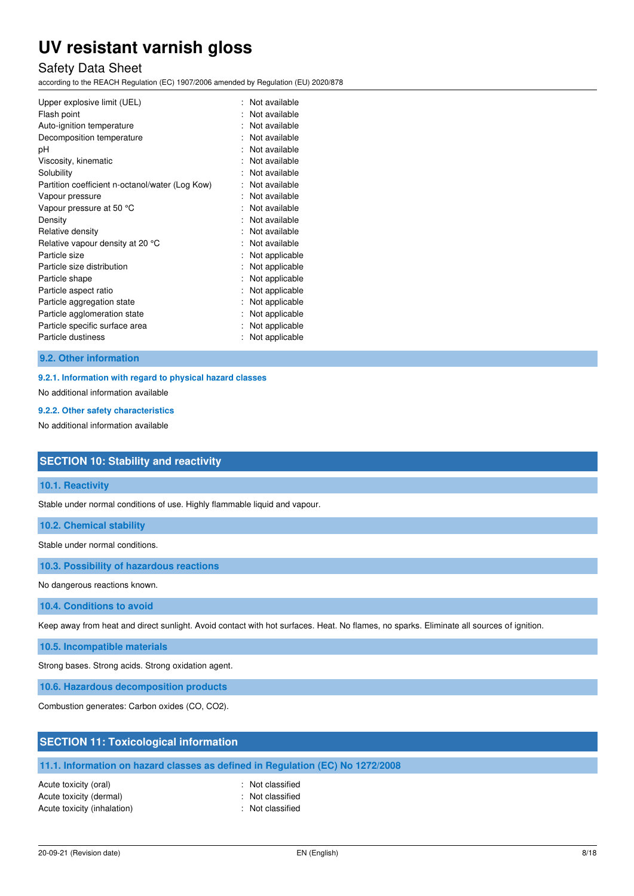### Safety Data Sheet

according to the REACH Regulation (EC) 1907/2006 amended by Regulation (EU) 2020/878

| Upper explosive limit (UEL)<br>Flash point<br>Auto-ignition temperature | Not available<br>Not available<br>Not available |
|-------------------------------------------------------------------------|-------------------------------------------------|
| Decomposition temperature                                               | Not available                                   |
| рH                                                                      | Not available                                   |
| Viscosity, kinematic                                                    | Not available                                   |
| Solubility                                                              | Not available                                   |
| Partition coefficient n-octanol/water (Log Kow)                         | Not available                                   |
| Vapour pressure                                                         | Not available                                   |
| Vapour pressure at 50 °C                                                | Not available                                   |
| Density                                                                 | Not available                                   |
| Relative density                                                        | Not available                                   |
| Relative vapour density at 20 °C                                        | Not available                                   |
| Particle size                                                           | Not applicable                                  |
| Particle size distribution                                              | Not applicable                                  |
| Particle shape                                                          | Not applicable                                  |
| Particle aspect ratio                                                   | Not applicable                                  |
| Particle aggregation state                                              | Not applicable                                  |
| Particle agglomeration state                                            | Not applicable                                  |
| Particle specific surface area                                          | Not applicable                                  |
| Particle dustiness                                                      | Not applicable                                  |

#### **9.2. Other information**

#### **9.2.1. Information with regard to physical hazard classes**

No additional information available

#### **9.2.2. Other safety characteristics**

No additional information available

### **SECTION 10: Stability and reactivity**

#### **10.1. Reactivity**

Stable under normal conditions of use. Highly flammable liquid and vapour.

**10.2. Chemical stability** 

Stable under normal conditions.

**10.3. Possibility of hazardous reactions** 

No dangerous reactions known.

**10.4. Conditions to avoid** 

Keep away from heat and direct sunlight. Avoid contact with hot surfaces. Heat. No flames, no sparks. Eliminate all sources of ignition.

**10.5. Incompatible materials** 

Strong bases. Strong acids. Strong oxidation agent.

**10.6. Hazardous decomposition products** 

Combustion generates: Carbon oxides (CO, CO2).

#### **SECTION 11: Toxicological information**

### **11.1. Information on hazard classes as defined in Regulation (EC) No 1272/2008**

Acute toxicity (oral) **Example 2** Contract 2 Contract 2 Contract 2 Contract 2 Contract 2 Contract 2 Contract 2 Contract 2 Contract 2 Contract 2 Contract 2 Contract 2 Contract 2 Contract 2 Contract 2 Contract 2 Contract 2 C Acute toxicity (dermal) **Example 2** Contract 2 Contract 2 Contract 2 Contract 2 Contract 2 Contract 2 Contract 2 Contract 2 Contract 2 Contract 2 Contract 2 Contract 2 Contract 2 Contract 2 Contract 2 Contract 2 Contract 2 Acute toxicity (inhalation) **Example 2** Controller toxicity (inhalation)

- 
-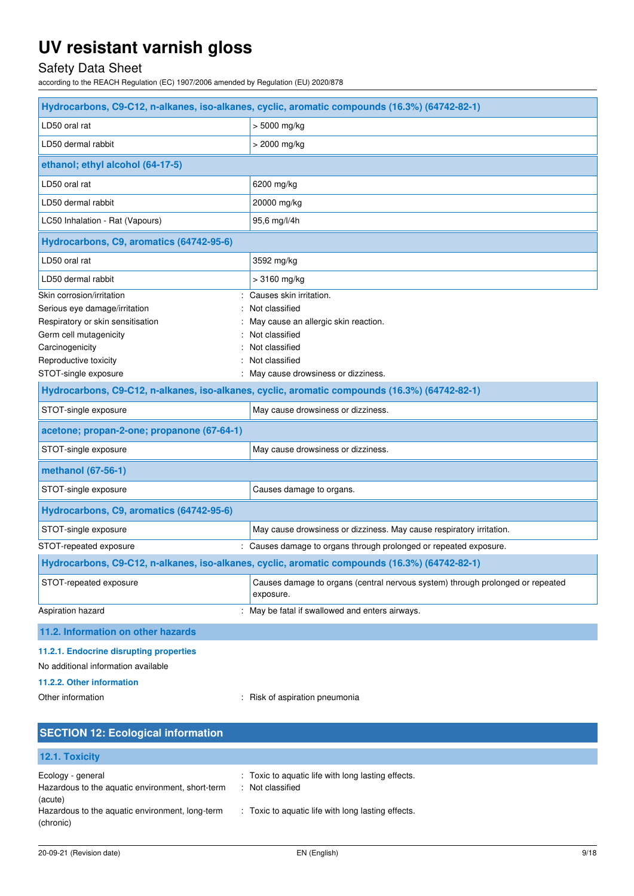## Safety Data Sheet

according to the REACH Regulation (EC) 1907/2006 amended by Regulation (EU) 2020/878

| Hydrocarbons, C9-C12, n-alkanes, iso-alkanes, cyclic, aromatic compounds (16.3%) (64742-82-1) |                                                                                             |  |  |
|-----------------------------------------------------------------------------------------------|---------------------------------------------------------------------------------------------|--|--|
| LD50 oral rat                                                                                 | $> 5000$ mg/kg                                                                              |  |  |
| LD50 dermal rabbit                                                                            | $>$ 2000 mg/kg                                                                              |  |  |
| ethanol; ethyl alcohol (64-17-5)                                                              |                                                                                             |  |  |
| LD50 oral rat                                                                                 | 6200 mg/kg                                                                                  |  |  |
| LD50 dermal rabbit                                                                            | 20000 mg/kg                                                                                 |  |  |
| LC50 Inhalation - Rat (Vapours)                                                               | 95,6 mg/l/4h                                                                                |  |  |
| Hydrocarbons, C9, aromatics (64742-95-6)                                                      |                                                                                             |  |  |
| LD50 oral rat                                                                                 | 3592 mg/kg                                                                                  |  |  |
| LD50 dermal rabbit                                                                            | $>3160$ mg/kg                                                                               |  |  |
| Skin corrosion/irritation                                                                     | : Causes skin irritation.                                                                   |  |  |
| Serious eye damage/irritation                                                                 | Not classified                                                                              |  |  |
| Respiratory or skin sensitisation                                                             | May cause an allergic skin reaction.                                                        |  |  |
| Germ cell mutagenicity                                                                        | Not classified                                                                              |  |  |
| Carcinogenicity                                                                               | Not classified                                                                              |  |  |
| Reproductive toxicity                                                                         | Not classified                                                                              |  |  |
| STOT-single exposure                                                                          | May cause drowsiness or dizziness.                                                          |  |  |
| Hydrocarbons, C9-C12, n-alkanes, iso-alkanes, cyclic, aromatic compounds (16.3%) (64742-82-1) |                                                                                             |  |  |
| STOT-single exposure                                                                          | May cause drowsiness or dizziness.                                                          |  |  |
| acetone; propan-2-one; propanone (67-64-1)                                                    |                                                                                             |  |  |
| STOT-single exposure                                                                          | May cause drowsiness or dizziness.                                                          |  |  |
| methanol (67-56-1)                                                                            |                                                                                             |  |  |
| STOT-single exposure                                                                          | Causes damage to organs.                                                                    |  |  |
| Hydrocarbons, C9, aromatics (64742-95-6)                                                      |                                                                                             |  |  |
| STOT-single exposure                                                                          | May cause drowsiness or dizziness. May cause respiratory irritation.                        |  |  |
| STOT-repeated exposure                                                                        | : Causes damage to organs through prolonged or repeated exposure.                           |  |  |
| Hydrocarbons, C9-C12, n-alkanes, iso-alkanes, cyclic, aromatic compounds (16.3%) (64742-82-1) |                                                                                             |  |  |
| STOT-repeated exposure                                                                        | Causes damage to organs (central nervous system) through prolonged or repeated<br>exposure. |  |  |
| Aspiration hazard                                                                             | : May be fatal if swallowed and enters airways.                                             |  |  |
| 11.2. Information on other hazards                                                            |                                                                                             |  |  |
| 11.2.1. Endocrine disrupting properties                                                       |                                                                                             |  |  |

No additional information available

## **11.2.2. Other information**

Other information **contact of the contact of the contact of the contact of the contact of the contact of the contact of the contact of the contact of the contact of the contact of the contact of the contact of the contact** 

| <b>SECTION 12: Ecological information</b>                                        |                                                                        |
|----------------------------------------------------------------------------------|------------------------------------------------------------------------|
| 12.1. Toxicity                                                                   |                                                                        |
| Ecology - general<br>Hazardous to the aquatic environment, short-term<br>(acute) | : Toxic to aquatic life with long lasting effects.<br>: Not classified |
| Hazardous to the aquatic environment, long-term<br>(chronic)                     | : Toxic to aquatic life with long lasting effects.                     |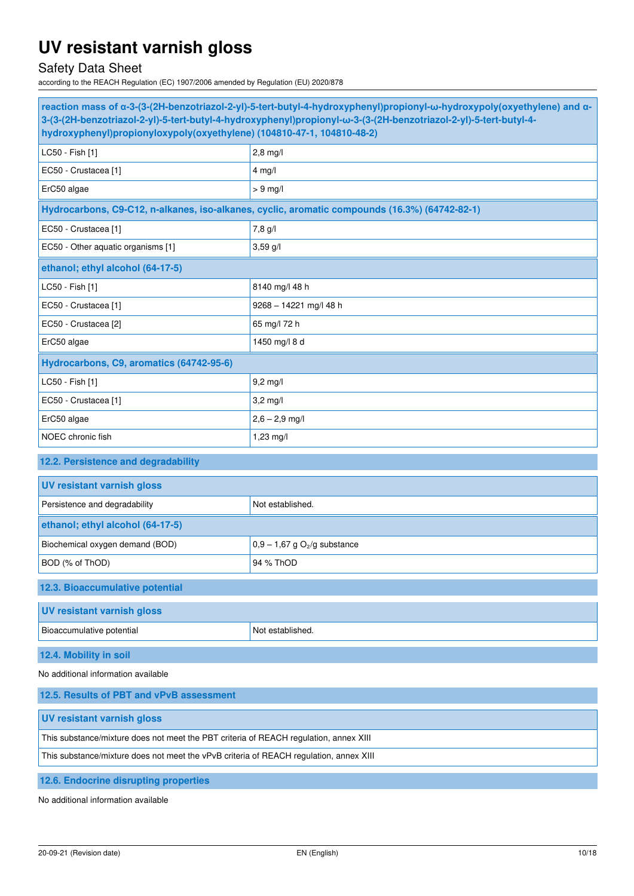## Safety Data Sheet

according to the REACH Regulation (EC) 1907/2006 amended by Regulation (EU) 2020/878

| reaction mass of α-3-(3-(2H-benzotriazol-2-yl)-5-tert-butyl-4-hydroxyphenyl)propionyl-ω-hydroxypoly(oxyethylene) and α-<br>3-(3-(2H-benzotriazol-2-yl)-5-tert-butyl-4-hydroxyphenyl)propionyl-w-3-(3-(2H-benzotriazol-2-yl)-5-tert-butyl-4-<br>hydroxyphenyl)propionyloxypoly(oxyethylene) (104810-47-1, 104810-48-2) |                                                                                               |  |  |
|-----------------------------------------------------------------------------------------------------------------------------------------------------------------------------------------------------------------------------------------------------------------------------------------------------------------------|-----------------------------------------------------------------------------------------------|--|--|
| LC50 - Fish [1]                                                                                                                                                                                                                                                                                                       | $2,8$ mg/l                                                                                    |  |  |
| EC50 - Crustacea [1]                                                                                                                                                                                                                                                                                                  | $4$ mg/                                                                                       |  |  |
| ErC50 algae                                                                                                                                                                                                                                                                                                           | $> 9$ mg/l                                                                                    |  |  |
|                                                                                                                                                                                                                                                                                                                       | Hydrocarbons, C9-C12, n-alkanes, iso-alkanes, cyclic, aromatic compounds (16.3%) (64742-82-1) |  |  |
| EC50 - Crustacea [1]                                                                                                                                                                                                                                                                                                  | 7,8 g/l                                                                                       |  |  |
| EC50 - Other aquatic organisms [1]                                                                                                                                                                                                                                                                                    | $3,59$ g/l                                                                                    |  |  |
| ethanol; ethyl alcohol (64-17-5)                                                                                                                                                                                                                                                                                      |                                                                                               |  |  |
| LC50 - Fish [1]                                                                                                                                                                                                                                                                                                       | 8140 mg/l 48 h                                                                                |  |  |
| EC50 - Crustacea [1]                                                                                                                                                                                                                                                                                                  | 9268 - 14221 mg/l 48 h                                                                        |  |  |
| EC50 - Crustacea [2]                                                                                                                                                                                                                                                                                                  | 65 mg/l 72 h                                                                                  |  |  |
| ErC50 algae                                                                                                                                                                                                                                                                                                           | 1450 mg/l 8 d                                                                                 |  |  |
| Hydrocarbons, C9, aromatics (64742-95-6)                                                                                                                                                                                                                                                                              |                                                                                               |  |  |
| LC50 - Fish [1]                                                                                                                                                                                                                                                                                                       | $9,2$ mg/l                                                                                    |  |  |
| EC50 - Crustacea [1]                                                                                                                                                                                                                                                                                                  | $3,2$ mg/l                                                                                    |  |  |
| ErC50 algae                                                                                                                                                                                                                                                                                                           | $2,6 - 2,9$ mg/l                                                                              |  |  |
| NOEC chronic fish                                                                                                                                                                                                                                                                                                     | 1,23 mg/l                                                                                     |  |  |
| 12.2. Persistence and degradability                                                                                                                                                                                                                                                                                   |                                                                                               |  |  |
| <b>UV resistant varnish gloss</b>                                                                                                                                                                                                                                                                                     |                                                                                               |  |  |
| Persistence and degradability                                                                                                                                                                                                                                                                                         | Not established.                                                                              |  |  |
| ethanol; ethyl alcohol (64-17-5)                                                                                                                                                                                                                                                                                      |                                                                                               |  |  |
| Biochemical oxygen demand (BOD)                                                                                                                                                                                                                                                                                       | $0,9 - 1,67$ g O <sub>2</sub> /g substance                                                    |  |  |
| BOD (% of ThOD)                                                                                                                                                                                                                                                                                                       | 94 % ThOD                                                                                     |  |  |
| 12.3. Bioaccumulative potential                                                                                                                                                                                                                                                                                       |                                                                                               |  |  |
| <b>UV resistant varnish gloss</b>                                                                                                                                                                                                                                                                                     |                                                                                               |  |  |
| Bioaccumulative potential                                                                                                                                                                                                                                                                                             | Not established.                                                                              |  |  |
| 12.4. Mobility in soil                                                                                                                                                                                                                                                                                                |                                                                                               |  |  |
| No additional information available                                                                                                                                                                                                                                                                                   |                                                                                               |  |  |
| 12.5. Results of PBT and vPvB assessment                                                                                                                                                                                                                                                                              |                                                                                               |  |  |
| <b>UV resistant varnish gloss</b>                                                                                                                                                                                                                                                                                     |                                                                                               |  |  |
| This substance/mixture does not meet the PBT criteria of REACH regulation, annex XIII                                                                                                                                                                                                                                 |                                                                                               |  |  |
| This substance/mixture does not meet the vPvB criteria of REACH regulation, annex XIII                                                                                                                                                                                                                                |                                                                                               |  |  |
|                                                                                                                                                                                                                                                                                                                       |                                                                                               |  |  |

**12.6. Endocrine disrupting properties** 

No additional information available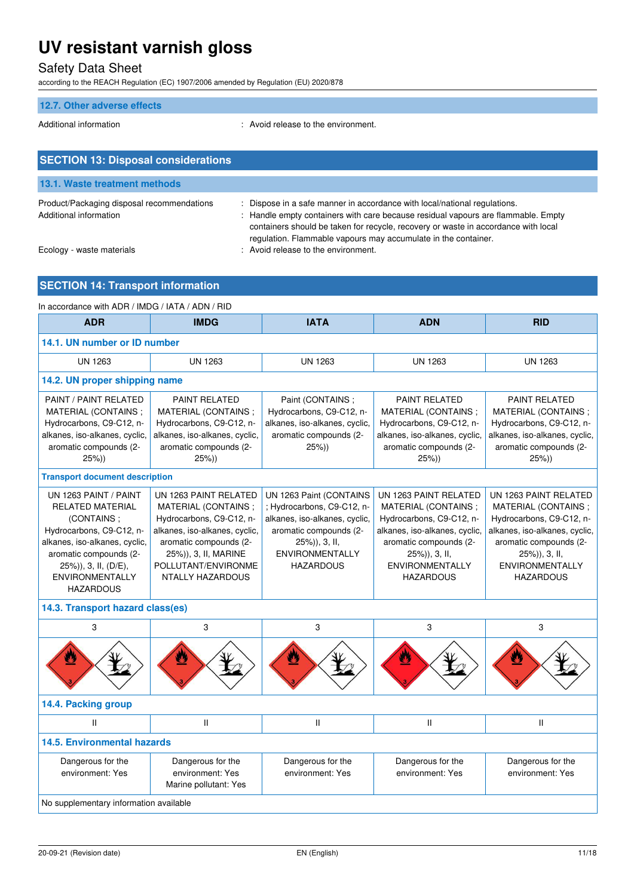## Safety Data Sheet

according to the REACH Regulation (EC) 1907/2006 amended by Regulation (EU) 2020/878

### **12.7. Other adverse effects**

Additional information **interest in the environment** of the environment.

| <b>SECTION 13: Disposal considerations</b>                           |                                                                                                                                                                                                                                                                                                                      |  |  |  |
|----------------------------------------------------------------------|----------------------------------------------------------------------------------------------------------------------------------------------------------------------------------------------------------------------------------------------------------------------------------------------------------------------|--|--|--|
| 13.1. Waste treatment methods                                        |                                                                                                                                                                                                                                                                                                                      |  |  |  |
| Product/Packaging disposal recommendations<br>Additional information | Dispose in a safe manner in accordance with local/national regulations.<br>: Handle empty containers with care because residual vapours are flammable. Empty<br>containers should be taken for recycle, recovery or waste in accordance with local<br>regulation. Flammable vapours may accumulate in the container. |  |  |  |
| Ecology - waste materials                                            | : Avoid release to the environment.                                                                                                                                                                                                                                                                                  |  |  |  |

### **SECTION 14: Transport information**

| In accordance with ADR / IMDG / IATA / ADN / RID                                                                                                                                                                            |                                                                                                                                                                                                               |                                                                                                                                                                                 |                                                                                                                                                                                                    |                                                                                                                                                                                                    |
|-----------------------------------------------------------------------------------------------------------------------------------------------------------------------------------------------------------------------------|---------------------------------------------------------------------------------------------------------------------------------------------------------------------------------------------------------------|---------------------------------------------------------------------------------------------------------------------------------------------------------------------------------|----------------------------------------------------------------------------------------------------------------------------------------------------------------------------------------------------|----------------------------------------------------------------------------------------------------------------------------------------------------------------------------------------------------|
| <b>ADR</b>                                                                                                                                                                                                                  | <b>IMDG</b>                                                                                                                                                                                                   | <b>IATA</b>                                                                                                                                                                     | <b>ADN</b>                                                                                                                                                                                         | <b>RID</b>                                                                                                                                                                                         |
| 14.1. UN number or ID number                                                                                                                                                                                                |                                                                                                                                                                                                               |                                                                                                                                                                                 |                                                                                                                                                                                                    |                                                                                                                                                                                                    |
| <b>UN 1263</b>                                                                                                                                                                                                              | <b>UN 1263</b>                                                                                                                                                                                                | <b>UN 1263</b>                                                                                                                                                                  | <b>UN 1263</b>                                                                                                                                                                                     | <b>UN 1263</b>                                                                                                                                                                                     |
| 14.2. UN proper shipping name                                                                                                                                                                                               |                                                                                                                                                                                                               |                                                                                                                                                                                 |                                                                                                                                                                                                    |                                                                                                                                                                                                    |
| PAINT / PAINT RELATED<br>MATERIAL (CONTAINS;<br>Hydrocarbons, C9-C12, n-<br>alkanes, iso-alkanes, cyclic,<br>aromatic compounds (2-<br>$25\%)$                                                                              | <b>PAINT RELATED</b><br>MATERIAL (CONTAINS;<br>Hydrocarbons, C9-C12, n-<br>alkanes, iso-alkanes, cyclic,<br>aromatic compounds (2-<br>25%)                                                                    | Paint (CONTAINS;<br>Hydrocarbons, C9-C12, n-<br>alkanes, iso-alkanes, cyclic,<br>aromatic compounds (2-<br>25%)                                                                 | <b>PAINT RELATED</b><br>MATERIAL (CONTAINS;<br>Hydrocarbons, C9-C12, n-<br>alkanes, iso-alkanes, cyclic,<br>aromatic compounds (2-<br>25%)                                                         | <b>PAINT RELATED</b><br>MATERIAL (CONTAINS;<br>Hydrocarbons, C9-C12, n-<br>alkanes, iso-alkanes, cyclic,<br>aromatic compounds (2-<br>$25\%)$                                                      |
| <b>Transport document description</b>                                                                                                                                                                                       |                                                                                                                                                                                                               |                                                                                                                                                                                 |                                                                                                                                                                                                    |                                                                                                                                                                                                    |
| UN 1263 PAINT / PAINT<br><b>RELATED MATERIAL</b><br>(CONTAINS;<br>Hydrocarbons, C9-C12, n-<br>alkanes, iso-alkanes, cyclic,<br>aromatic compounds (2-<br>25%)), 3, II, (D/E),<br><b>ENVIRONMENTALLY</b><br><b>HAZARDOUS</b> | UN 1263 PAINT RELATED<br>MATERIAL (CONTAINS;<br>Hydrocarbons, C9-C12, n-<br>alkanes, iso-alkanes, cyclic,<br>aromatic compounds (2-<br>25%)), 3, II, MARINE<br>POLLUTANT/ENVIRONME<br><b>NTALLY HAZARDOUS</b> | UN 1263 Paint (CONTAINS<br>; Hydrocarbons, C9-C12, n-<br>alkanes, iso-alkanes, cyclic,<br>aromatic compounds (2-<br>25%)), 3, II,<br><b>ENVIRONMENTALLY</b><br><b>HAZARDOUS</b> | UN 1263 PAINT RELATED<br>MATERIAL (CONTAINS;<br>Hydrocarbons, C9-C12, n-<br>alkanes, iso-alkanes, cyclic,<br>aromatic compounds (2-<br>25%)), 3, II,<br><b>ENVIRONMENTALLY</b><br><b>HAZARDOUS</b> | UN 1263 PAINT RELATED<br>MATERIAL (CONTAINS;<br>Hydrocarbons, C9-C12, n-<br>alkanes, iso-alkanes, cyclic,<br>aromatic compounds (2-<br>25%)), 3, II,<br><b>ENVIRONMENTALLY</b><br><b>HAZARDOUS</b> |
| 14.3. Transport hazard class(es)                                                                                                                                                                                            |                                                                                                                                                                                                               |                                                                                                                                                                                 |                                                                                                                                                                                                    |                                                                                                                                                                                                    |
| 3                                                                                                                                                                                                                           | 3                                                                                                                                                                                                             | 3                                                                                                                                                                               | 3                                                                                                                                                                                                  | 3                                                                                                                                                                                                  |
|                                                                                                                                                                                                                             |                                                                                                                                                                                                               |                                                                                                                                                                                 |                                                                                                                                                                                                    |                                                                                                                                                                                                    |
| 14.4. Packing group                                                                                                                                                                                                         |                                                                                                                                                                                                               |                                                                                                                                                                                 |                                                                                                                                                                                                    |                                                                                                                                                                                                    |
| $\mathsf{II}$                                                                                                                                                                                                               | $\mathbf{H}$                                                                                                                                                                                                  | Ш                                                                                                                                                                               | $\mathbf{H}$                                                                                                                                                                                       | $\mathbf{II}$                                                                                                                                                                                      |
| <b>14.5. Environmental hazards</b>                                                                                                                                                                                          |                                                                                                                                                                                                               |                                                                                                                                                                                 |                                                                                                                                                                                                    |                                                                                                                                                                                                    |
| Dangerous for the<br>environment: Yes                                                                                                                                                                                       | Dangerous for the<br>environment: Yes<br>Marine pollutant: Yes                                                                                                                                                | Dangerous for the<br>environment: Yes                                                                                                                                           | Dangerous for the<br>environment: Yes                                                                                                                                                              | Dangerous for the<br>environment: Yes                                                                                                                                                              |
| No supplementary information available                                                                                                                                                                                      |                                                                                                                                                                                                               |                                                                                                                                                                                 |                                                                                                                                                                                                    |                                                                                                                                                                                                    |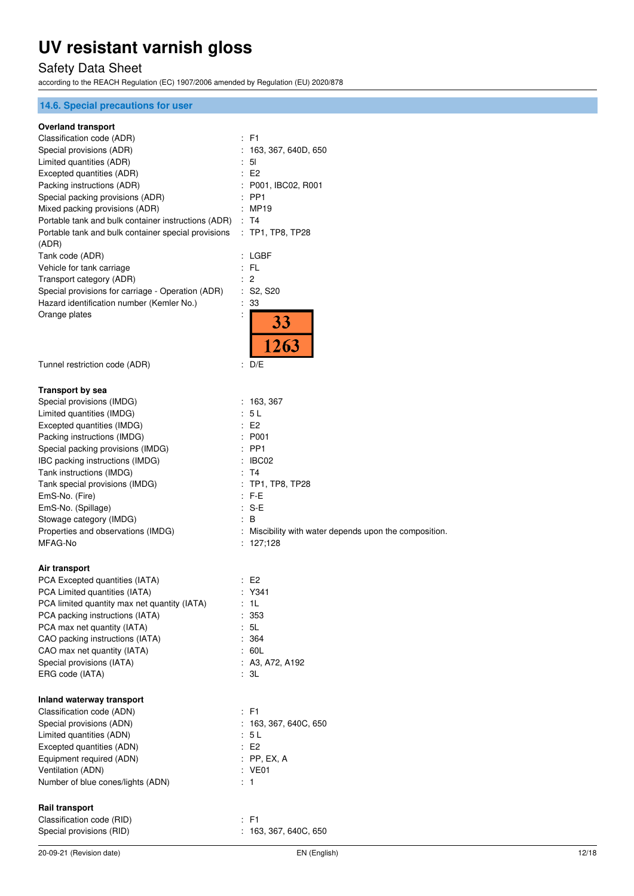## Safety Data Sheet

according to the REACH Regulation (EC) 1907/2006 amended by Regulation (EU) 2020/878

### **14.6. Special precautions for user**

#### **Overland transport**

| wonana uanoport<br>Classification code (ADR)<br>Special provisions (ADR)<br>Limited quantities (ADR)<br>Excepted quantities (ADR)<br>Packing instructions (ADR)<br>Special packing provisions (ADR)<br>Mixed packing provisions (ADR)<br>Portable tank and bulk container instructions (ADR) : T4<br>Portable tank and bulk container special provisions<br>(ADR)<br>Tank code (ADR)<br>Vehicle for tank carriage<br>Transport category (ADR)<br>Special provisions for carriage - Operation (ADR)<br>Hazard identification number (Kemler No.)<br>Orange plates | : F1<br>163, 367, 640D, 650<br>51<br>E <sub>2</sub><br>P001, IBC02, R001<br>PP <sub>1</sub><br><b>MP19</b><br>$:$ TP1, TP8, TP28<br>: LGBF<br>FL<br>$\overline{2}$<br>÷<br>S <sub>2</sub> , S <sub>20</sub><br>33<br><b>33</b><br>1263 |
|------------------------------------------------------------------------------------------------------------------------------------------------------------------------------------------------------------------------------------------------------------------------------------------------------------------------------------------------------------------------------------------------------------------------------------------------------------------------------------------------------------------------------------------------------------------|----------------------------------------------------------------------------------------------------------------------------------------------------------------------------------------------------------------------------------------|
| Tunnel restriction code (ADR)                                                                                                                                                                                                                                                                                                                                                                                                                                                                                                                                    | D/E                                                                                                                                                                                                                                    |
| Transport by sea<br>Special provisions (IMDG)<br>Limited quantities (IMDG)<br>Excepted quantities (IMDG)<br>Packing instructions (IMDG)<br>Special packing provisions (IMDG)<br>IBC packing instructions (IMDG)<br>Tank instructions (IMDG)<br>Tank special provisions (IMDG)<br>EmS-No. (Fire)<br>EmS-No. (Spillage)<br>Stowage category (IMDG)<br>Properties and observations (IMDG)<br>MFAG-No<br>Air transport<br>PCA Excepted quantities (IATA)<br>PCA Limited quantities (IATA)<br>PCA limited quantity max net quantity (IATA)                            | : 163,367<br>5L<br>÷<br>E <sub>2</sub><br>P001<br>PP <sub>1</sub><br>IBC02<br>: T4<br>: TP1, TP8, TP28<br>F-E<br>S-E<br>В<br>: Miscibility with water depends upon the composition.<br>: 127;128<br>: E2<br>$:$ Y341<br>1L             |
| PCA packing instructions (IATA)<br>PCA max net quantity (IATA)<br>CAO packing instructions (IATA)<br>CAO max net quantity (IATA)<br>Special provisions (IATA)<br>ERG code (IATA)                                                                                                                                                                                                                                                                                                                                                                                 | :353<br>: 5L<br>: 364<br>: 60L<br>: A3, A72, A192<br>: 3L                                                                                                                                                                              |
| Inland waterway transport<br>Classification code (ADN)<br>Special provisions (ADN)<br>Limited quantities (ADN)<br>Excepted quantities (ADN)<br>Equipment required (ADN)<br>Ventilation (ADN)<br>Number of blue cones/lights (ADN)<br><b>Rail transport</b>                                                                                                                                                                                                                                                                                                       | : F1<br>: 163, 367, 640C, 650<br>: 5 L<br>: E2<br>: PP, EX, A<br>: VE01<br>: 1                                                                                                                                                         |

Classification code (RID) : F1 Special provisions (RID)  $\qquad \qquad$  : 163, 367, 640C, 650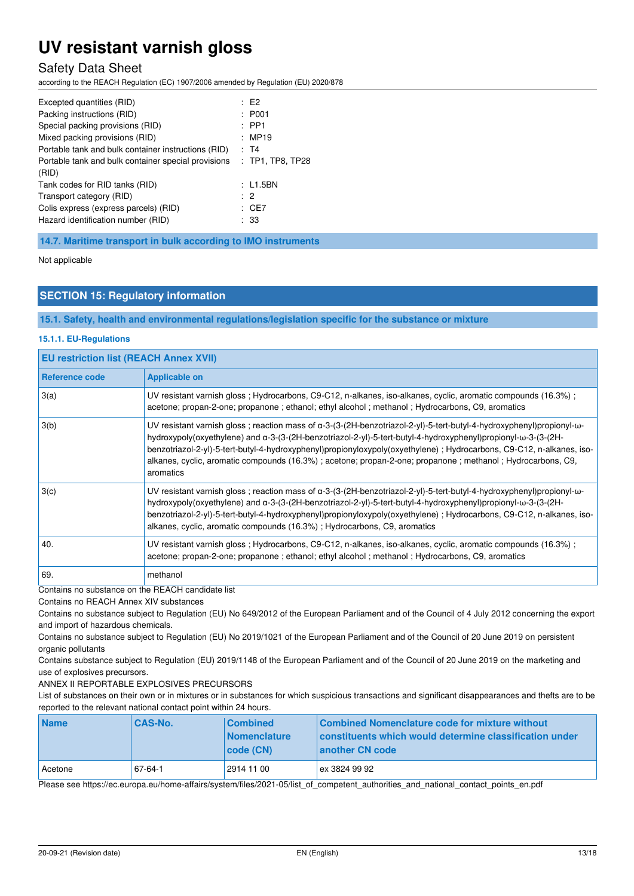### Safety Data Sheet

according to the REACH Regulation (EC) 1907/2006 amended by Regulation (EU) 2020/878

| Excepted quantities (RID)<br>Packing instructions (RID)<br>Special packing provisions (RID)<br>Mixed packing provisions (RID)<br>Portable tank and bulk container instructions (RID) | $E^2$<br>: P <sub>001</sub><br>$:$ PP1<br>: MP19<br>: T4 |
|--------------------------------------------------------------------------------------------------------------------------------------------------------------------------------------|----------------------------------------------------------|
| Portable tank and bulk container special provisions<br>(RID)                                                                                                                         | $:$ TP1, TP8, TP28                                       |
| Tank codes for RID tanks (RID)<br>Transport category (RID)<br>Colis express (express parcels) (RID)<br>Hazard identification number (RID)                                            | : L1.5BN<br>$\cdot$ 2<br>: CE7<br>: 33                   |

**14.7. Maritime transport in bulk according to IMO instruments** 

Not applicable

### **SECTION 15: Regulatory information**

**15.1. Safety, health and environmental regulations/legislation specific for the substance or mixture** 

#### **15.1.1. EU-Regulations**

| <b>EU restriction list (REACH Annex XVII)</b> |                                                                                                                                                                                                                                                                                                                                                                                                                                                                                                           |  |
|-----------------------------------------------|-----------------------------------------------------------------------------------------------------------------------------------------------------------------------------------------------------------------------------------------------------------------------------------------------------------------------------------------------------------------------------------------------------------------------------------------------------------------------------------------------------------|--|
| <b>Reference code</b>                         | <b>Applicable on</b>                                                                                                                                                                                                                                                                                                                                                                                                                                                                                      |  |
| 3(a)                                          | UV resistant varnish gloss; Hydrocarbons, C9-C12, n-alkanes, iso-alkanes, cyclic, aromatic compounds (16.3%);<br>acetone; propan-2-one; propanone; ethanol; ethyl alcohol; methanol; Hydrocarbons, C9, aromatics                                                                                                                                                                                                                                                                                          |  |
| 3(b)                                          | UV resistant varnish gloss; reaction mass of $\alpha$ -3-(3-(2H-benzotriazol-2-yl)-5-tert-butyl-4-hydroxyphenyl)propionyl- $\omega$ -<br>hydroxypoly(oxyethylene) and α-3-(3-(2H-benzotriazol-2-yl)-5-tert-butyl-4-hydroxyphenyl)propionyl-ω-3-(3-(2H-<br>benzotriazol-2-yl)-5-tert-butyl-4-hydroxyphenyl)propionyloxypoly(oxyethylene); Hydrocarbons, C9-C12, n-alkanes, iso-<br>alkanes, cyclic, aromatic compounds (16.3%); acetone; propan-2-one; propanone; methanol; Hydrocarbons, C9,<br>aromatics |  |
| 3(c)                                          | UV resistant varnish gloss; reaction mass of $\alpha$ -3-(3-(2H-benzotriazol-2-yl)-5-tert-butyl-4-hydroxyphenyl)propionyl- $\omega$ -<br>hydroxypoly(oxyethylene) and α-3-(3-(2H-benzotriazol-2-yl)-5-tert-butyl-4-hydroxyphenyl)propionyl-ω-3-(3-(2H-<br>benzotriazol-2-yl)-5-tert-butyl-4-hydroxyphenyl)propionyloxypoly(oxyethylene) ; Hydrocarbons, C9-C12, n-alkanes, iso-<br>alkanes, cyclic, aromatic compounds (16.3%) ; Hydrocarbons, C9, aromatics                                              |  |
| 40.                                           | UV resistant varnish gloss; Hydrocarbons, C9-C12, n-alkanes, iso-alkanes, cyclic, aromatic compounds (16.3%);<br>acetone; propan-2-one; propanone ; ethanol; ethyl alcohol; methanol; Hydrocarbons, C9, aromatics                                                                                                                                                                                                                                                                                         |  |
| 69.                                           | methanol                                                                                                                                                                                                                                                                                                                                                                                                                                                                                                  |  |

Contains no substance on the REACH candidate list

Contains no REACH Annex XIV substances

Contains no substance subject to Regulation (EU) No 649/2012 of the European Parliament and of the Council of 4 July 2012 concerning the export and import of hazardous chemicals.

Contains no substance subject to Regulation (EU) No 2019/1021 of the European Parliament and of the Council of 20 June 2019 on persistent organic pollutants

Contains substance subject to Regulation (EU) 2019/1148 of the European Parliament and of the Council of 20 June 2019 on the marketing and use of explosives precursors.

ANNEX II REPORTABLE EXPLOSIVES PRECURSORS

List of substances on their own or in mixtures or in substances for which suspicious transactions and significant disappearances and thefts are to be reported to the relevant national contact point within 24 hours.

| <b>Name</b> | <b>CAS-No.</b> | <b>Combined</b><br><b>Nomenclature</b><br> code(CN) | Combined Nomenclature code for mixture without<br>constituents which would determine classification under<br>another CN code |
|-------------|----------------|-----------------------------------------------------|------------------------------------------------------------------------------------------------------------------------------|
| Acetone     | 67-64-1        | 2914 11 00                                          | ex 3824 99 92                                                                                                                |

Please see https://ec.europa.eu/home-affairs/system/files/2021-05/list\_of\_competent\_authorities\_and\_national\_contact\_points\_en.pdf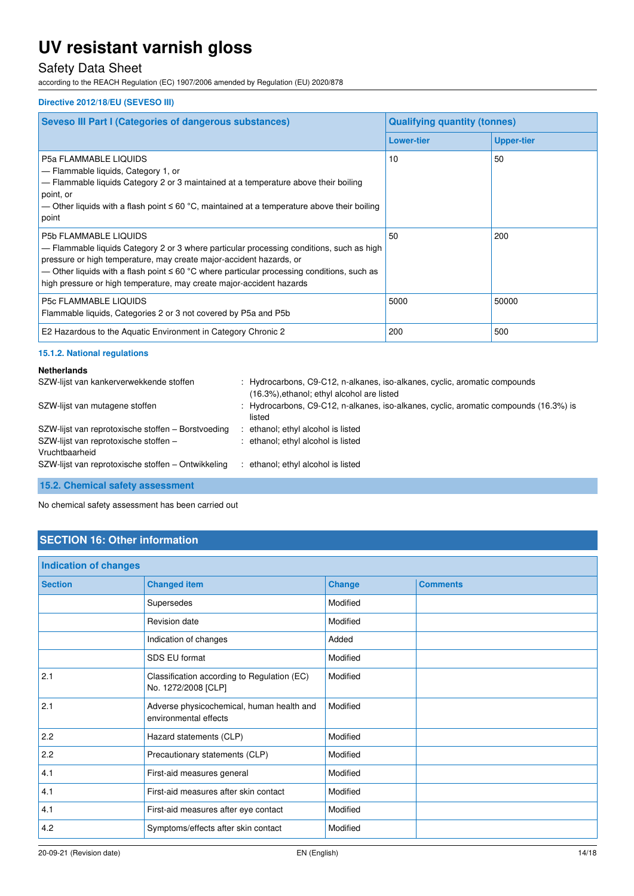### Safety Data Sheet

according to the REACH Regulation (EC) 1907/2006 amended by Regulation (EU) 2020/878

#### **Directive 2012/18/EU (SEVESO III)**

| <b>Seveso III Part I (Categories of dangerous substances)</b>                                                                                                                                                                                                                                                                                                              | <b>Qualifying quantity (tonnes)</b> |                   |
|----------------------------------------------------------------------------------------------------------------------------------------------------------------------------------------------------------------------------------------------------------------------------------------------------------------------------------------------------------------------------|-------------------------------------|-------------------|
|                                                                                                                                                                                                                                                                                                                                                                            | <b>Lower-tier</b>                   | <b>Upper-tier</b> |
| <b>P5a FLAMMABLE LIQUIDS</b><br>- Flammable liquids, Category 1, or<br>- Flammable liquids Category 2 or 3 maintained at a temperature above their boiling<br>point, or<br>— Other liquids with a flash point $\leq 60$ °C, maintained at a temperature above their boiling<br>point                                                                                       | 10                                  | 50                |
| <b>P5b FLAMMABLE LIQUIDS</b><br>- Flammable liquids Category 2 or 3 where particular processing conditions, such as high<br>pressure or high temperature, may create major-accident hazards, or<br>— Other liquids with a flash point $\leq 60$ °C where particular processing conditions, such as<br>high pressure or high temperature, may create major-accident hazards | 50                                  | 200               |
| <b>P5c FLAMMABLE LIQUIDS</b><br>Flammable liquids, Categories 2 or 3 not covered by P5a and P5b                                                                                                                                                                                                                                                                            | 5000                                | 50000             |
| E2 Hazardous to the Aquatic Environment in Category Chronic 2                                                                                                                                                                                                                                                                                                              | 200                                 | 500               |

#### **15.1.2. National regulations**

| <b>Netherlands</b>                                      |                                                                                                                          |
|---------------------------------------------------------|--------------------------------------------------------------------------------------------------------------------------|
| SZW-lijst van kankerverwekkende stoffen                 | : Hydrocarbons, C9-C12, n-alkanes, iso-alkanes, cyclic, aromatic compounds<br>(16.3%), ethanol; ethyl alcohol are listed |
| SZW-lijst van mutagene stoffen                          | : Hydrocarbons, C9-C12, n-alkanes, iso-alkanes, cyclic, aromatic compounds (16.3%) is<br>listed                          |
| SZW-lijst van reprotoxische stoffen – Borstvoeding      | : ethanol; ethyl alcohol is listed                                                                                       |
| SZW-lijst van reprotoxische stoffen -<br>Vruchtbaarheid | : ethanol; ethyl alcohol is listed                                                                                       |
| SZW-lijst van reprotoxische stoffen - Ontwikkeling      | : ethanol; ethyl alcohol is listed                                                                                       |

**15.2. Chemical safety assessment** 

No chemical safety assessment has been carried out

### **SECTION 16: Other information**

| Indication of changes |                                                                    |               |                 |
|-----------------------|--------------------------------------------------------------------|---------------|-----------------|
| <b>Section</b>        | <b>Changed item</b>                                                | <b>Change</b> | <b>Comments</b> |
|                       | Supersedes                                                         | Modified      |                 |
|                       | Revision date                                                      | Modified      |                 |
|                       | Indication of changes                                              | Added         |                 |
|                       | SDS EU format                                                      | Modified      |                 |
| 2.1                   | Classification according to Regulation (EC)<br>No. 1272/2008 [CLP] | Modified      |                 |
| 2.1                   | Adverse physicochemical, human health and<br>environmental effects | Modified      |                 |
| 2.2                   | Hazard statements (CLP)                                            | Modified      |                 |
| 2.2                   | Precautionary statements (CLP)                                     | Modified      |                 |
| 4.1                   | First-aid measures general                                         | Modified      |                 |
| 4.1                   | First-aid measures after skin contact                              | Modified      |                 |
| 4.1                   | First-aid measures after eye contact                               | Modified      |                 |
| 4.2                   | Symptoms/effects after skin contact                                | Modified      |                 |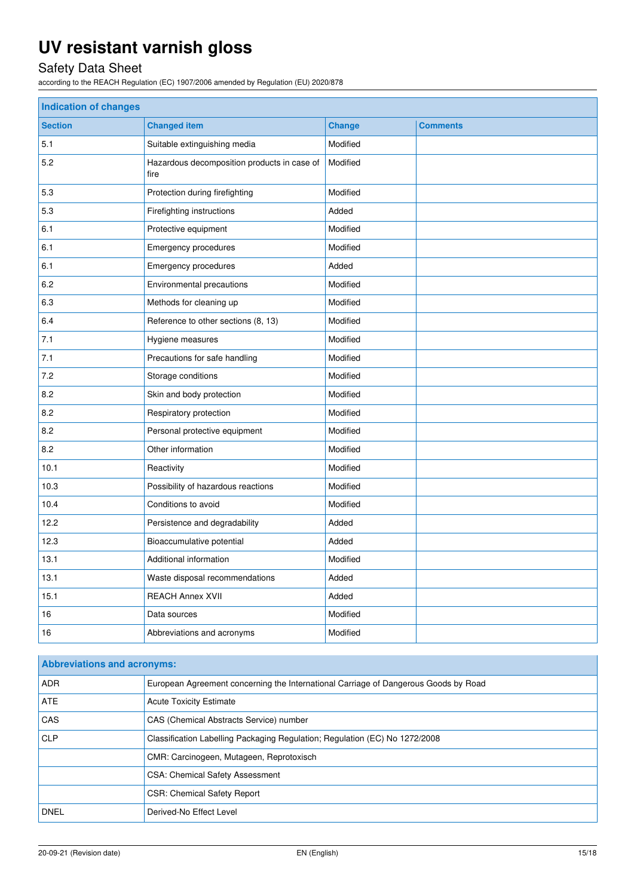## Safety Data Sheet

according to the REACH Regulation (EC) 1907/2006 amended by Regulation (EU) 2020/878

| <b>Indication of changes</b> |                                                     |               |                 |
|------------------------------|-----------------------------------------------------|---------------|-----------------|
| <b>Section</b>               | <b>Changed item</b>                                 | <b>Change</b> | <b>Comments</b> |
| 5.1                          | Suitable extinguishing media                        | Modified      |                 |
| 5.2                          | Hazardous decomposition products in case of<br>fire | Modified      |                 |
| 5.3                          | Protection during firefighting                      | Modified      |                 |
| 5.3                          | Firefighting instructions                           | Added         |                 |
| 6.1                          | Protective equipment                                | Modified      |                 |
| 6.1                          | Emergency procedures                                | Modified      |                 |
| 6.1                          | Emergency procedures                                | Added         |                 |
| 6.2                          | Environmental precautions                           | Modified      |                 |
| 6.3                          | Methods for cleaning up                             | Modified      |                 |
| 6.4                          | Reference to other sections (8, 13)                 | Modified      |                 |
| 7.1                          | Hygiene measures                                    | Modified      |                 |
| 7.1                          | Precautions for safe handling                       | Modified      |                 |
| 7.2                          | Storage conditions                                  | Modified      |                 |
| 8.2                          | Skin and body protection                            | Modified      |                 |
| 8.2                          | Respiratory protection                              | Modified      |                 |
| 8.2                          | Personal protective equipment                       | Modified      |                 |
| 8.2                          | Other information                                   | Modified      |                 |
| 10.1                         | Reactivity                                          | Modified      |                 |
| 10.3                         | Possibility of hazardous reactions                  | Modified      |                 |
| 10.4                         | Conditions to avoid                                 | Modified      |                 |
| 12.2                         | Persistence and degradability                       | Added         |                 |
| 12.3                         | Bioaccumulative potential                           | Added         |                 |
| 13.1                         | Additional information                              | Modified      |                 |
| 13.1                         | Waste disposal recommendations                      | Added         |                 |
| 15.1                         | <b>REACH Annex XVII</b>                             | Added         |                 |
| 16                           | Data sources                                        | Modified      |                 |
| 16                           | Abbreviations and acronyms                          | Modified      |                 |

| <b>Abbreviations and acronyms:</b> |                                                                                     |  |  |
|------------------------------------|-------------------------------------------------------------------------------------|--|--|
| <b>ADR</b>                         | European Agreement concerning the International Carriage of Dangerous Goods by Road |  |  |
| <b>ATE</b>                         | <b>Acute Toxicity Estimate</b>                                                      |  |  |
| <b>CAS</b>                         | CAS (Chemical Abstracts Service) number                                             |  |  |
| <b>CLP</b>                         | Classification Labelling Packaging Regulation; Regulation (EC) No 1272/2008         |  |  |
|                                    | CMR: Carcinogeen, Mutageen, Reprotoxisch                                            |  |  |
|                                    | <b>CSA: Chemical Safety Assessment</b>                                              |  |  |
|                                    | <b>CSR: Chemical Safety Report</b>                                                  |  |  |
| <b>DNEL</b>                        | Derived-No Effect Level                                                             |  |  |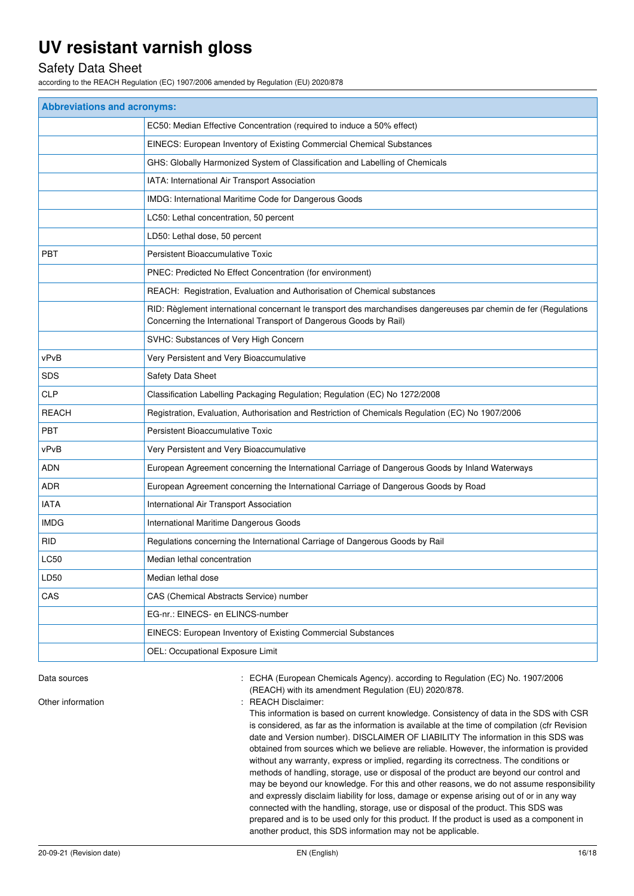### Safety Data Sheet

according to the REACH Regulation (EC) 1907/2006 amended by Regulation (EU) 2020/878

| <b>Abbreviations and acronyms:</b> |                                                                                                                                                                                        |  |  |
|------------------------------------|----------------------------------------------------------------------------------------------------------------------------------------------------------------------------------------|--|--|
|                                    | EC50: Median Effective Concentration (required to induce a 50% effect)                                                                                                                 |  |  |
|                                    | EINECS: European Inventory of Existing Commercial Chemical Substances                                                                                                                  |  |  |
|                                    | GHS: Globally Harmonized System of Classification and Labelling of Chemicals                                                                                                           |  |  |
|                                    | IATA: International Air Transport Association                                                                                                                                          |  |  |
|                                    | IMDG: International Maritime Code for Dangerous Goods                                                                                                                                  |  |  |
|                                    | LC50: Lethal concentration, 50 percent                                                                                                                                                 |  |  |
|                                    | LD50: Lethal dose, 50 percent                                                                                                                                                          |  |  |
| PBT                                | Persistent Bioaccumulative Toxic                                                                                                                                                       |  |  |
|                                    | PNEC: Predicted No Effect Concentration (for environment)                                                                                                                              |  |  |
|                                    | REACH: Registration, Evaluation and Authorisation of Chemical substances                                                                                                               |  |  |
|                                    | RID: Règlement international concernant le transport des marchandises dangereuses par chemin de fer (Regulations<br>Concerning the International Transport of Dangerous Goods by Rail) |  |  |
|                                    | SVHC: Substances of Very High Concern                                                                                                                                                  |  |  |
| vPvB                               | Very Persistent and Very Bioaccumulative                                                                                                                                               |  |  |
| SDS                                | Safety Data Sheet                                                                                                                                                                      |  |  |
| <b>CLP</b>                         | Classification Labelling Packaging Regulation; Regulation (EC) No 1272/2008                                                                                                            |  |  |
| <b>REACH</b>                       | Registration, Evaluation, Authorisation and Restriction of Chemicals Regulation (EC) No 1907/2006                                                                                      |  |  |
| PBT                                | Persistent Bioaccumulative Toxic                                                                                                                                                       |  |  |
| vPvB                               | Very Persistent and Very Bioaccumulative                                                                                                                                               |  |  |
| ADN                                | European Agreement concerning the International Carriage of Dangerous Goods by Inland Waterways                                                                                        |  |  |
| ADR                                | European Agreement concerning the International Carriage of Dangerous Goods by Road                                                                                                    |  |  |
| <b>IATA</b>                        | International Air Transport Association                                                                                                                                                |  |  |
| <b>IMDG</b>                        | International Maritime Dangerous Goods                                                                                                                                                 |  |  |
| RID                                | Regulations concerning the International Carriage of Dangerous Goods by Rail                                                                                                           |  |  |
| <b>LC50</b>                        | Median lethal concentration                                                                                                                                                            |  |  |
| LD50                               | Median lethal dose                                                                                                                                                                     |  |  |
| CAS                                | CAS (Chemical Abstracts Service) number                                                                                                                                                |  |  |
|                                    | EG-nr.: EINECS- en ELINCS-number                                                                                                                                                       |  |  |
|                                    | EINECS: European Inventory of Existing Commercial Substances                                                                                                                           |  |  |
|                                    | OEL: Occupational Exposure Limit                                                                                                                                                       |  |  |

Data sources **1997/2006** : ECHA (European Chemicals Agency). according to Regulation (EC) No. 1907/2006 (REACH) with its amendment Regulation (EU) 2020/878.

Other information  $\qquad \qquad$ : REACH Disclaimer:

This information is based on current knowledge. Consistency of data in the SDS with CSR is considered, as far as the information is available at the time of compilation (cfr Revision date and Version number). DISCLAIMER OF LIABILITY The information in this SDS was obtained from sources which we believe are reliable. However, the information is provided without any warranty, express or implied, regarding its correctness. The conditions or methods of handling, storage, use or disposal of the product are beyond our control and may be beyond our knowledge. For this and other reasons, we do not assume responsibility and expressly disclaim liability for loss, damage or expense arising out of or in any way connected with the handling, storage, use or disposal of the product. This SDS was prepared and is to be used only for this product. If the product is used as a component in another product, this SDS information may not be applicable.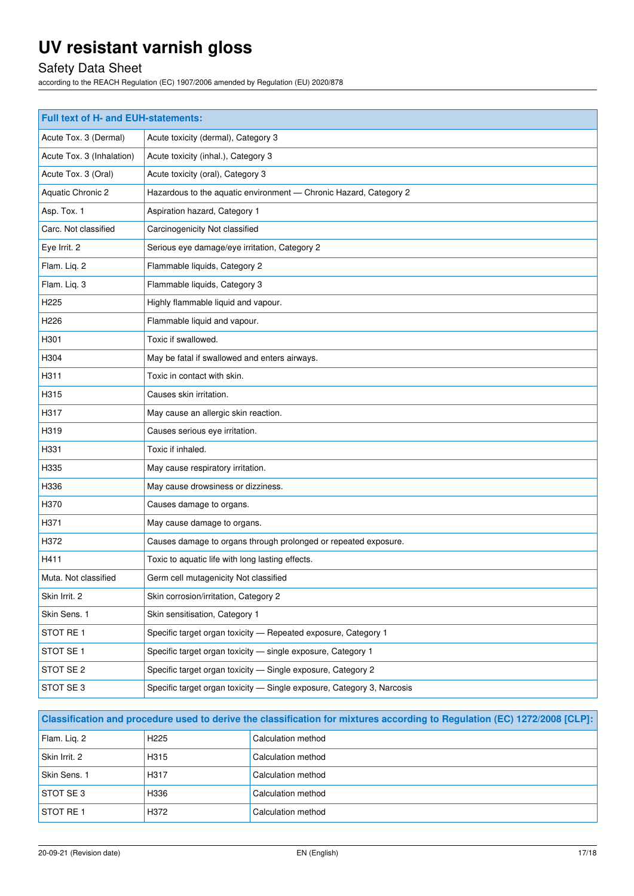## Safety Data Sheet

according to the REACH Regulation (EC) 1907/2006 amended by Regulation (EU) 2020/878

| Full text of H- and EUH-statements: |                                                                        |  |  |
|-------------------------------------|------------------------------------------------------------------------|--|--|
| Acute Tox. 3 (Dermal)               | Acute toxicity (dermal), Category 3                                    |  |  |
| Acute Tox. 3 (Inhalation)           | Acute toxicity (inhal.), Category 3                                    |  |  |
| Acute Tox. 3 (Oral)                 | Acute toxicity (oral), Category 3                                      |  |  |
| Aquatic Chronic 2                   | Hazardous to the aquatic environment - Chronic Hazard, Category 2      |  |  |
| Asp. Tox. 1                         | Aspiration hazard, Category 1                                          |  |  |
| Carc. Not classified                | Carcinogenicity Not classified                                         |  |  |
| Eye Irrit. 2                        | Serious eye damage/eye irritation, Category 2                          |  |  |
| Flam. Liq. 2                        | Flammable liquids, Category 2                                          |  |  |
| Flam. Liq. 3                        | Flammable liquids, Category 3                                          |  |  |
| H225                                | Highly flammable liquid and vapour.                                    |  |  |
| H226                                | Flammable liquid and vapour.                                           |  |  |
| H301                                | Toxic if swallowed.                                                    |  |  |
| H304                                | May be fatal if swallowed and enters airways.                          |  |  |
| H311                                | Toxic in contact with skin.                                            |  |  |
| H315                                | Causes skin irritation.                                                |  |  |
| H317                                | May cause an allergic skin reaction.                                   |  |  |
| H319                                | Causes serious eye irritation.                                         |  |  |
| H331                                | Toxic if inhaled.                                                      |  |  |
| H335                                | May cause respiratory irritation.                                      |  |  |
| H336                                | May cause drowsiness or dizziness.                                     |  |  |
| H370                                | Causes damage to organs.                                               |  |  |
| H371                                | May cause damage to organs.                                            |  |  |
| H372                                | Causes damage to organs through prolonged or repeated exposure.        |  |  |
| H411                                | Toxic to aquatic life with long lasting effects.                       |  |  |
| Muta. Not classified                | Germ cell mutagenicity Not classified                                  |  |  |
| Skin Irrit. 2                       | Skin corrosion/irritation, Category 2                                  |  |  |
| Skin Sens. 1                        | Skin sensitisation, Category 1                                         |  |  |
| STOT RE1                            | Specific target organ toxicity - Repeated exposure, Category 1         |  |  |
| STOT SE 1                           | Specific target organ toxicity - single exposure, Category 1           |  |  |
| STOT SE 2                           | Specific target organ toxicity - Single exposure, Category 2           |  |  |
| STOT SE 3                           | Specific target organ toxicity - Single exposure, Category 3, Narcosis |  |  |

| Classification and procedure used to derive the classification for mixtures according to Regulation (EC) 1272/2008 [CLP]: |                   |                    |  |
|---------------------------------------------------------------------------------------------------------------------------|-------------------|--------------------|--|
| Flam. Lig. 2                                                                                                              | H <sub>225</sub>  | Calculation method |  |
| Skin Irrit. 2                                                                                                             | H <sub>3</sub> 15 | Calculation method |  |
| Skin Sens. 1                                                                                                              | H317              | Calculation method |  |
| <b>STOT SE 3</b>                                                                                                          | H336              | Calculation method |  |
| <b>STOT RE1</b>                                                                                                           | H372              | Calculation method |  |